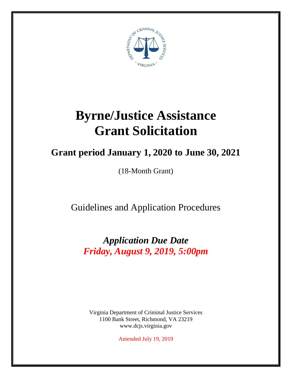

# **Byrne/Justice Assistance Grant Solicitation**

## **Grant period January 1, 2020 to June 30, 2021**

(18-Month Grant)

Guidelines and Application Procedures

*Application Due Date Friday, August 9, 2019, 5:00pm*

Virginia Department of Criminal Justice Services 1100 Bank Street, Richmond, VA 23219 www.dcjs.virginia.gov

Amended July 19, 2019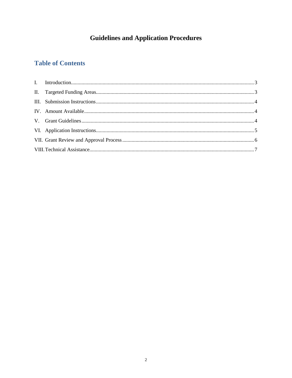### **Guidelines and Application Procedures**

### **Table of Contents**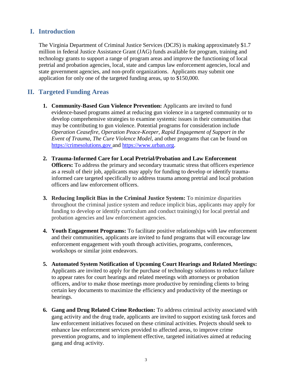#### <span id="page-2-0"></span>**I. Introduction**

The Virginia Department of Criminal Justice Services (DCJS) is making approximately \$1.7 million in federal Justice Assistance Grant (JAG) funds available for program, training and technology grants to support a range of program areas and improve the functioning of local pretrial and probation agencies, local, state and campus law enforcement agencies, local and state government agencies, and non-profit organizations. Applicants may submit one application for only one of the targeted funding areas, up to \$150,000.

#### <span id="page-2-1"></span>**II. Targeted Funding Areas**

- **1. Community-Based Gun Violence Prevention:** Applicants are invited to fund evidence-based programs aimed at reducing gun violence in a targeted community or to develop comprehensive strategies to examine systemic issues in their communities that may be contributing to gun violence. Potential programs for consideration include *Operation Ceasefire, Operation Peace-Keeper, Rapid Engagement of Support in the Event of Trauma, The Cure Violence Model,* and other programs that can be found on [https://crimesolutions.gov](https://crimesolutions.gov/) and [https://www.urban.org.](https://www.urban.org/)
- **2. Trauma-Informed Care for Local Pretrial/Probation and Law Enforcement Officers:** To address the primary and secondary traumatic stress that officers experience as a result of their job, applicants may apply for funding to develop or identify traumainformed care targeted specifically to address trauma among pretrial and local probation officers and law enforcement officers.
- **3. Reducing Implicit Bias in the Criminal Justice System:** To minimize disparities throughout the criminal justice system and reduce implicit bias, applicants may apply for funding to develop or identify curriculum and conduct training(s) for local pretrial and probation agencies and law enforcement agencies.
- **4. Youth Engagement Programs:** To facilitate positive relationships with law enforcement and their communities, applicants are invited to fund programs that will encourage law enforcement engagement with youth through activities, programs, conferences, workshops or similar joint endeavors.
- **5. Automated System Notification of Upcoming Court Hearings and Related Meetings:**  Applicants are invited to apply for the purchase of technology solutions to reduce failure to appear rates for court hearings and related meetings with attorneys or probation officers, and/or to make those meetings more productive by reminding clients to bring certain key documents to maximize the efficiency and productivity of the meetings or hearings.
- **6. Gang and Drug Related Crime Reduction:** To address criminal activity associated with gang activity and the drug trade, applicants are invited to support existing task forces and law enforcement initiatives focused on these criminal activities. Projects should seek to enhance law enforcement services provided to affected areas, to improve crime prevention programs, and to implement effective, targeted initiatives aimed at reducing gang and drug activity.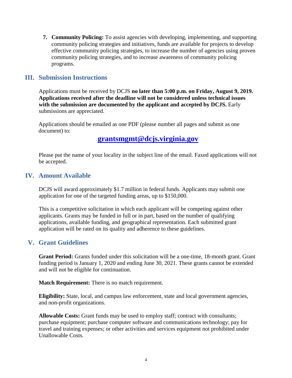**7. Community Policing:** To assist agencies with developing, implementing, and supporting community policing strategies and initiatives, funds are available for projects to develop effective community policing strategies, to increase the number of agencies using proven community policing strategies, and to increase awareness of community policing programs.

#### <span id="page-3-0"></span>**III. Submission Instructions**

Applications must be received by DCJS **no later than 5:00 p.m. on Friday, August 9, 2019. Applications received after the deadline will not be considered unless technical issues with the submission are documented by the applicant and accepted by DCJS.** Early submissions are appreciated.

Applications should be emailed as one PDF (please number all pages and submit as one document) to:

#### **[grantsmgmt@dcjs.virginia.gov](mailto:grantsmgmt@dcjs.virginia.gov)**

Please put the name of your locality in the subject line of the email. Faxed applications will not be accepted.

#### <span id="page-3-1"></span>**IV. Amount Available**

DCJS will award approximately \$1.7 million in federal funds. Applicants may submit one application for one of the targeted funding areas, up to \$150,000.

This is a competitive solicitation in which each applicant will be competing against other applicants. Grants may be funded in full or in part, based on the number of qualifying applications, available funding, and geographical representation. Each submitted grant application will be rated on its quality and adherence to these guidelines.

#### <span id="page-3-2"></span>**V. Grant Guidelines**

**Grant Period:** Grants funded under this solicitation will be a one-time, 18-month grant. Grant funding period is January 1, 2020 and ending June 30, 2021. These grants cannot be extended and will not be eligible for continuation.

**Match Requirement:** There is no match requirement.

**Eligibility:** State, local, and campus law enforcement, state and local government agencies, and non-profit organizations.

**Allowable Costs:** Grant funds may be used to employ staff; contract with consultants; purchase equipment; purchase computer software and communications technology; pay for travel and training expenses; or other activities and services equipment not prohibited under Unallowable Costs.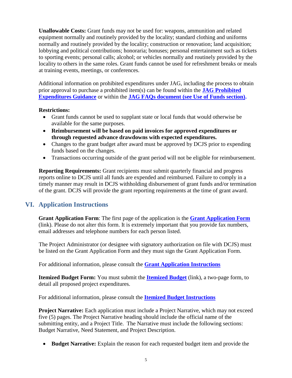**Unallowable Costs:** Grant funds may not be used for: weapons, ammunition and related equipment normally and routinely provided by the locality; standard clothing and uniforms normally and routinely provided by the locality; construction or renovation; land acquisition; lobbying and political contributions; honoraria; bonuses; personal entertainment such as tickets to sporting events; personal calls; alcohol; or vehicles normally and routinely provided by the locality to others in the same roles. Grant funds cannot be used for refreshment breaks or meals at training events, meetings, or conferences.

Additional information on prohibited expenditures under JAG, including the process to obtain prior approval to purchase a prohibited item(s) can be found within the **[JAG Prohibited](https://www.bja.gov/Funding/JAGControlledPurchaseList.pdf)  [Expenditures Guidance](https://www.bja.gov/Funding/JAGControlledPurchaseList.pdf)** or within the **[JAG FAQs document \(see Use of Funds section\).](https://www.bja.gov/Programs/JAG/JAG-FAQs.pdf)**

#### **Restrictions:**

- Grant funds cannot be used to supplant state or local funds that would otherwise be available for the same purposes.
- **Reimbursement will be based on paid invoices for approved expenditures or through requested advance drawdowns with expected expenditures.**
- Changes to the grant budget after award must be approved by DCJS prior to expending funds based on the changes.
- Transactions occurring outside of the grant period will not be eligible for reimbursement.

**Reporting Requirements:** Grant recipients must submit quarterly financial and progress reports online to DCJS until all funds are expended and reimbursed. Failure to comply in a timely manner may result in DCJS withholding disbursement of grant funds and/or termination of the grant. DCJS will provide the grant reporting requirements at the time of grant award.

#### <span id="page-4-0"></span>**VI. Application Instructions**

**[Grant Application](http://www.dcjs.virginia.gov/forms/grants/grantApp.rtf) Form**: The first page of the application is the **[Grant Application Form](https://www.dcjs.virginia.gov/sites/dcjs.virginia.gov/files/grants/common/grant-application-face-sheet.doc)** (link). Please do not alter this form. It is extremely important that you provide fax numbers, email addresses and telephone numbers for each person listed.

The Project Administrator (or designee with signatory authorization on file with DCJS) must be listed on the Grant Application Form and they must sign the Grant Application Form.

For additional information, please consult the **[Grant Application Instructions](https://www.dcjs.virginia.gov/sites/dcjs.virginia.gov/files/grants/common/grant-application-instructions.doc)**

**Itemized Budget Form:** You must submit the **[Itemized Budget](https://www.dcjs.virginia.gov/sites/dcjs.virginia.gov/files/grants/common/itemized-budget.xls)** (link), a two-page form, to detail all proposed project expenditures.

For additional information, please consult the **[Itemized Budget Instructions](https://www.dcjs.virginia.gov/sites/dcjs.virginia.gov/files/grants/common/itemized-budget-instructions.doc)**

**Project Narrative:** Each application must include a Project Narrative, which may not exceed five (5) pages. The Project Narrative heading should include the official name of the submitting entity, and a Project Title. The Narrative must include the following sections: Budget Narrative, Need Statement, and Project Description.

**Budget Narrative:** Explain the reason for each requested budget item and provide the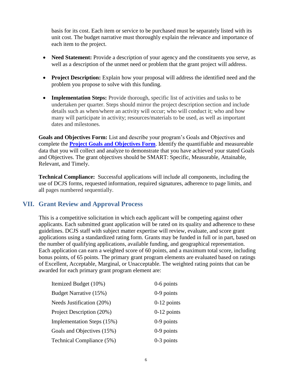basis for its cost. Each item or service to be purchased must be separately listed with its unit cost. The budget narrative must thoroughly explain the relevance and importance of each item to the project.

- Need Statement: Provide a description of your agency and the constituents you serve, as well as a description of the unmet need or problem that the grant project will address.
- **Project Description:** Explain how your proposal will address the identified need and the problem you propose to solve with this funding.
- **Implementation Steps:** Provide thorough, specific list of activities and tasks to be undertaken per quarter. Steps should mirror the project description section and include details such as when/where an activity will occur; who will conduct it; who and how many will participate in activity; resources/materials to be used, as well as important dates and milestones.

**Goals and Objectives Form:** List and describe your program's Goals and Objectives and complete the **[Project Goals and Objectives Form](https://www.dcjs.virginia.gov/sites/dcjs.virginia.gov/files/grants/common/project-goals-objectives-form.doc)**. Identify the quantifiable and measureable data that you will collect and analyze to demonstrate that you have achieved your stated Goals and Objectives. The grant objectives should be SMART: Specific, Measurable, Attainable, Relevant, and Timely.

**Technical Compliance:** Successful applications will include all components, including the use of DCJS forms, requested information, required signatures, adherence to page limits, and all pages numbered sequentially.

#### <span id="page-5-0"></span>**VII. Grant Review and Approval Process**

This is a competitive solicitation in which each applicant will be competing against other applicants. Each submitted grant application will be rated on its quality and adherence to these guidelines. DCJS staff with subject matter expertise will review, evaluate, and score grant applications using a standardized rating form. Grants may be funded in full or in part, based on the number of qualifying applications, available funding, and geographical representation. Each application can earn a weighted score of 60 points, and a maximum total score, including bonus points, of 65 points. The primary grant program elements are evaluated based on ratings of Excellent, Acceptable, Marginal, or Unacceptable. The weighted rating points that can be awarded for each primary grant program element are:

| Itemized Budget (10%)      | $0-6$ points  |
|----------------------------|---------------|
| Budget Narrative (15%)     | $0-9$ points  |
| Needs Justification (20%)  | $0-12$ points |
| Project Description (20%)  | $0-12$ points |
| Implementation Steps (15%) | $0-9$ points  |
| Goals and Objectives (15%) | $0-9$ points  |
| Technical Compliance (5%)  | $0-3$ points  |